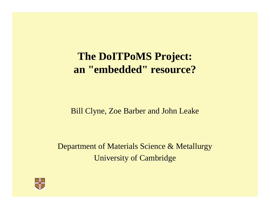### **The DoITPoMS Project: an "embedded" resource?**

#### Bill Clyne, Zoe Barber and John Leake

Department of Materials Science & Metallurgy University of Cambridge

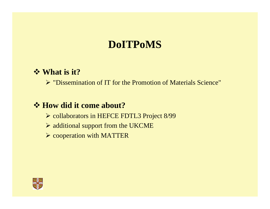## **DoITPoMS**

#### **What is it?**

¾ "Dissemination of IT for the Promotion of Materials Science"

#### *❖* **How did it come about?**

- ¾ collaborators in HEFCE FDTL3 Project 8/99
- $\triangleright$  additional support from the UKCME
- ¾ cooperation with MATTER

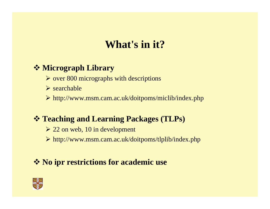## **What's in it?**

### **Micrograph Library**

- ¾ over 800 micrographs with descriptions
- $\triangleright$  searchable
- ¾ http://www.msm.cam.ac.uk/doitpoms/miclib/index.php

### **Teaching and Learning Packages (TLPs)**

- $\geq 22$  on web, 10 in development
- ¾ http://www.msm.cam.ac.uk/doitpoms/tlplib/index.php

### **No ipr restrictions for academic use**

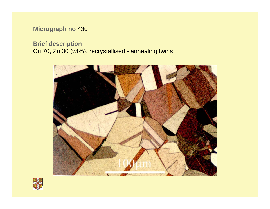#### **Micrograph no** 430

#### **Brief description** Cu 70, Zn 30 (wt%), recrystallised - annealing twins



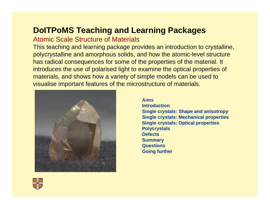### **DoITPoMS Teaching and Learning Packages**

#### Atomic Scale Structure of Materials

This teaching and learning package provides an introduction to crystalline, polycrystalline and amorphous solids, and how the atomic-level structure has radical consequences for some of the properties of the material. It introduces the use of polarised light to examine the optical properties of materials, and shows how a variety of simple models can be used to visualise important features of the microstructure of materials.



**AimsIntroductionSingle crystals: Shape and anisotropy Single crystals: Mechanical properties Single crystals: Optical properties Polycrystals DefectsSummary Questions Going further**

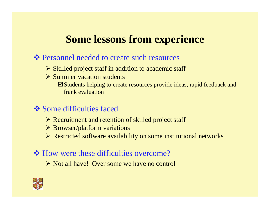# **Some lessons from experience**

#### $\triangle$  Personnel needed to create such resources

- ¾ Skilled project staff in addition to academic staff
- **► Summer vacation students** 
	- $\boxtimes$  Students helping to create resources provide ideas, rapid feedback and frank evaluation
- **❖ Some difficulties faced** 
	- ¾ Recruitment and retention of skilled project staff
	- ¾ Browser/platform variations
	- ¾ Restricted software availability on some institutional networks

#### **→** How were these difficulties overcome?

¾ Not all have! Over some we have no control

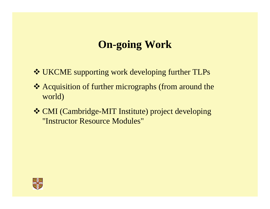# **On-going Work**

- UKCME supporting work developing further TLPs
- \* Acquisition of further micrographs (from around the world)
- CMI (Cambridge-MIT Institute) project developing "Instructor Resource Modules"

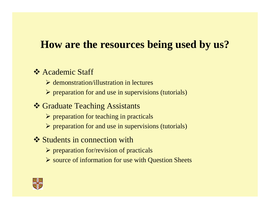## **How are the resources being used by us?**

### **❖ Academic Staff**

- **► demonstration/illustration in lectures**
- ¾ preparation for and use in supervisions (tutorials)
- **❖ Graduate Teaching Assistants** 
	- $\triangleright$  preparation for teaching in practicals
	- $\triangleright$  preparation for and use in supervisions (tutorials)
- **❖ Students in connection with** 
	- $\triangleright$  preparation for/revision of practicals
	- ¾ source of information for use with Question Sheets

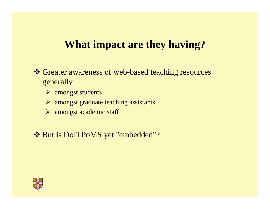### **What impact are they having?**

- Greater awareness of web-based teaching resources generally:
	- ¾ amongst students
	- ¾ amongst graduate teaching assistants
	- ¾ amongst academic staff
- But is DoITPoMS yet "embedded"?

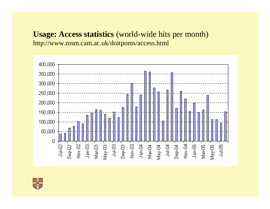### **Usage: Access statistics** (world-wide hits per month)

http://www.msm.cam.ac.uk/doitpoms/access.html



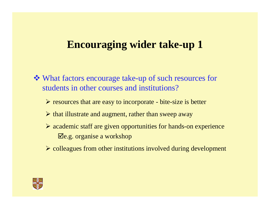### **Encouraging wider take-up 1**

- What factors encourage take-up of such resources for students in other courses and institutions?
	- ¾ resources that are easy to incorporate bite-size is better
	- $\triangleright$  that illustrate and augment, rather than sweep away
	- ¾ academic staff are given opportunities for hands-on experience  $\mathbf{\nabla}$ e.g. organise a workshop
	- ¾ colleagues from other institutions involved during development

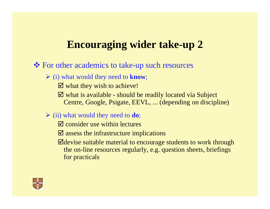# **Encouraging wider take-up 2**

#### For other academics to take-up such resources

- ¾ (i) what would they need to **know**;
	- $\boxtimes$  what they wish to achieve!
	- $\boxtimes$  what is available should be readily located via Subject Centre, Google, Psigate, EEVL, ... (depending on discipline)
- ¾ (ii) what would they need to **do**;
	- $\boxtimes$  consider use within lectures
	- $\boxtimes$  assess the infrastructure implications
	- $\blacktriangleright$  devise suitable material to encourage students to work through the on-line resources regularly, e.g. question sheets, briefings for practicals

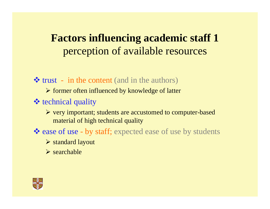# **Factors influencing academic staff 1**  perception of available resources

 $\triangleleft$  trust - in the content (and in the authors)

¾ former often influenced by knowledge of latter

### **❖** technical quality

¾ very important; students are accustomed to computer-based material of high technical quality

ease of use - by staff; expected ease of use by students

¾ standard layout

 $\triangleright$  searchable

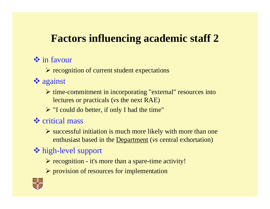# **Factors influencing academic staff 2**

### **❖** in favour

¾ recognition of current student expectations

- **❖** against
	- ¾ time-commitment in incorporating "external" resources into lectures or practicals (*vs* the next RAE)
	- $\triangleright$  "I could do better, if only I had the time"

### **❖** critical mass

 $\triangleright$  successful initiation is much more likely with more than one enthusiast based in the Department (*vs* central exhortation)

### high-level support

- ¾ recognition it's more than a spare-time activity!
- ¾ provision of resources for implementation